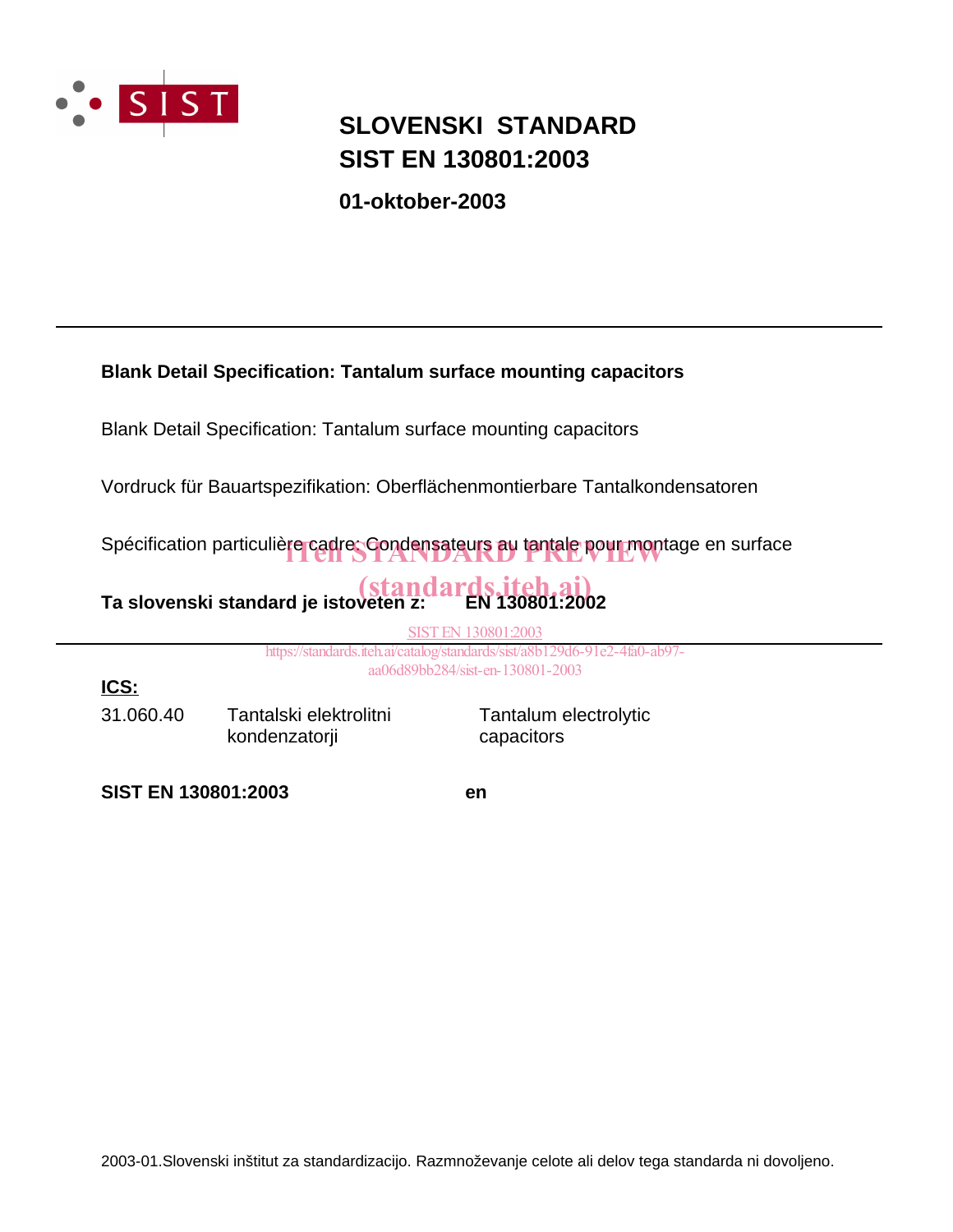

### **SIST EN 130801:2003 SLOVENSKI STANDARD**

**01-oktober-2003**

### **Blank Detail Specification: Tantalum surface mounting capacitors**

Blank Detail Specification: Tantalum surface mounting capacitors

Vordruck für Bauartspezifikation: Oberflächenmontierbare Tantalkondensatoren

Spécification particulière cadre: Condensateurs au tantale pour montage en surface

# Ta slovenski standard je istoveten z:<br>2002: EN 130801

SIST EN 130801:2003

https://standards.iteh.ai/catalog/standards/sist/a8b129d6-91e2-4fa0-ab97 aa06d89bb284/sist-en-130801-2003

31.060.40 Tantalski elektrolitni kondenzatorji

Tantalum electrolytic capacitors

**SIST EN 130801:2003 en**

**ICS:**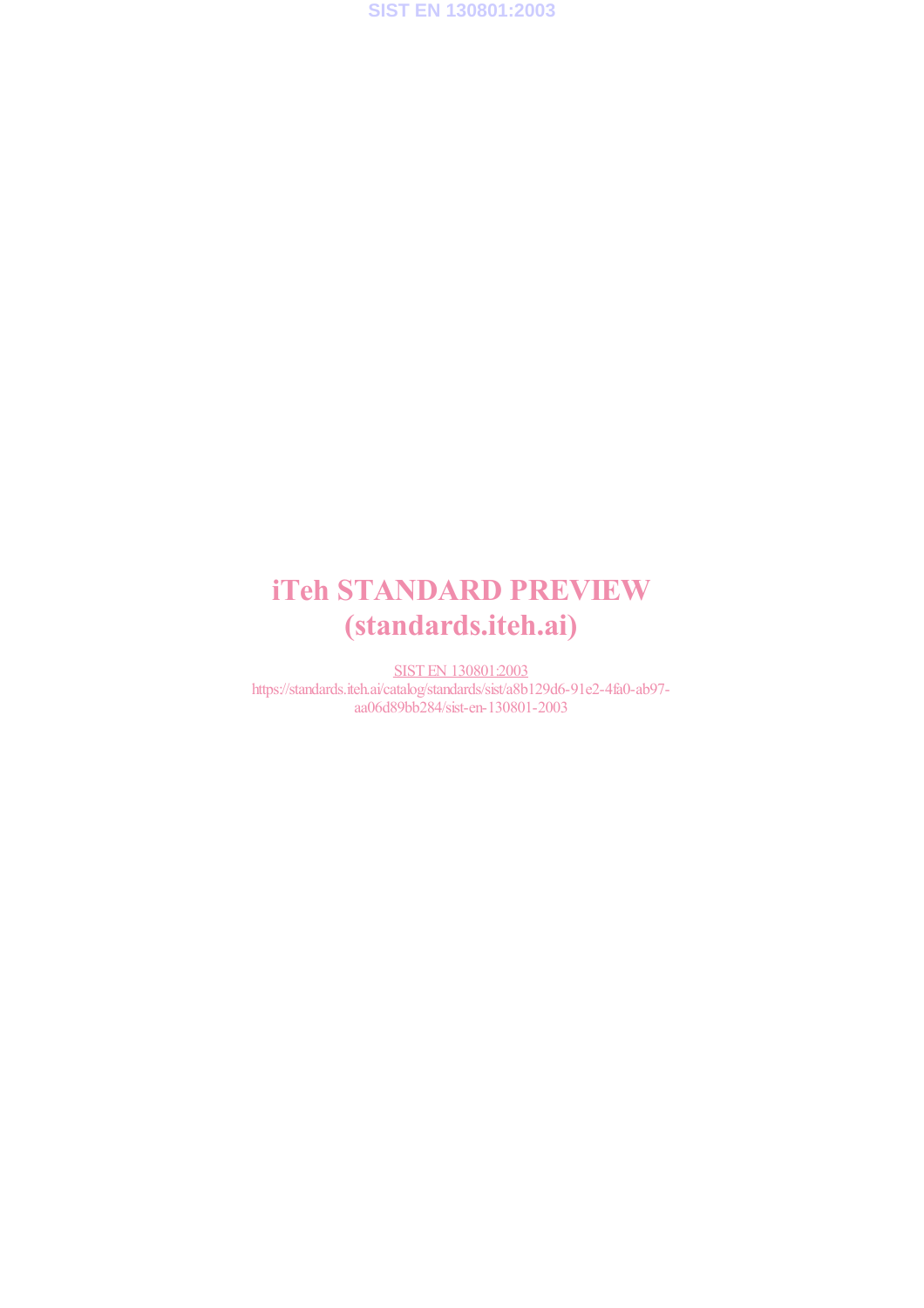

# iTeh STANDARD PREVIEW (standards.iteh.ai)

SIST EN 130801:2003 https://standards.iteh.ai/catalog/standards/sist/a8b129d6-91e2-4fa0-ab97 aa06d89bb284/sist-en-130801-2003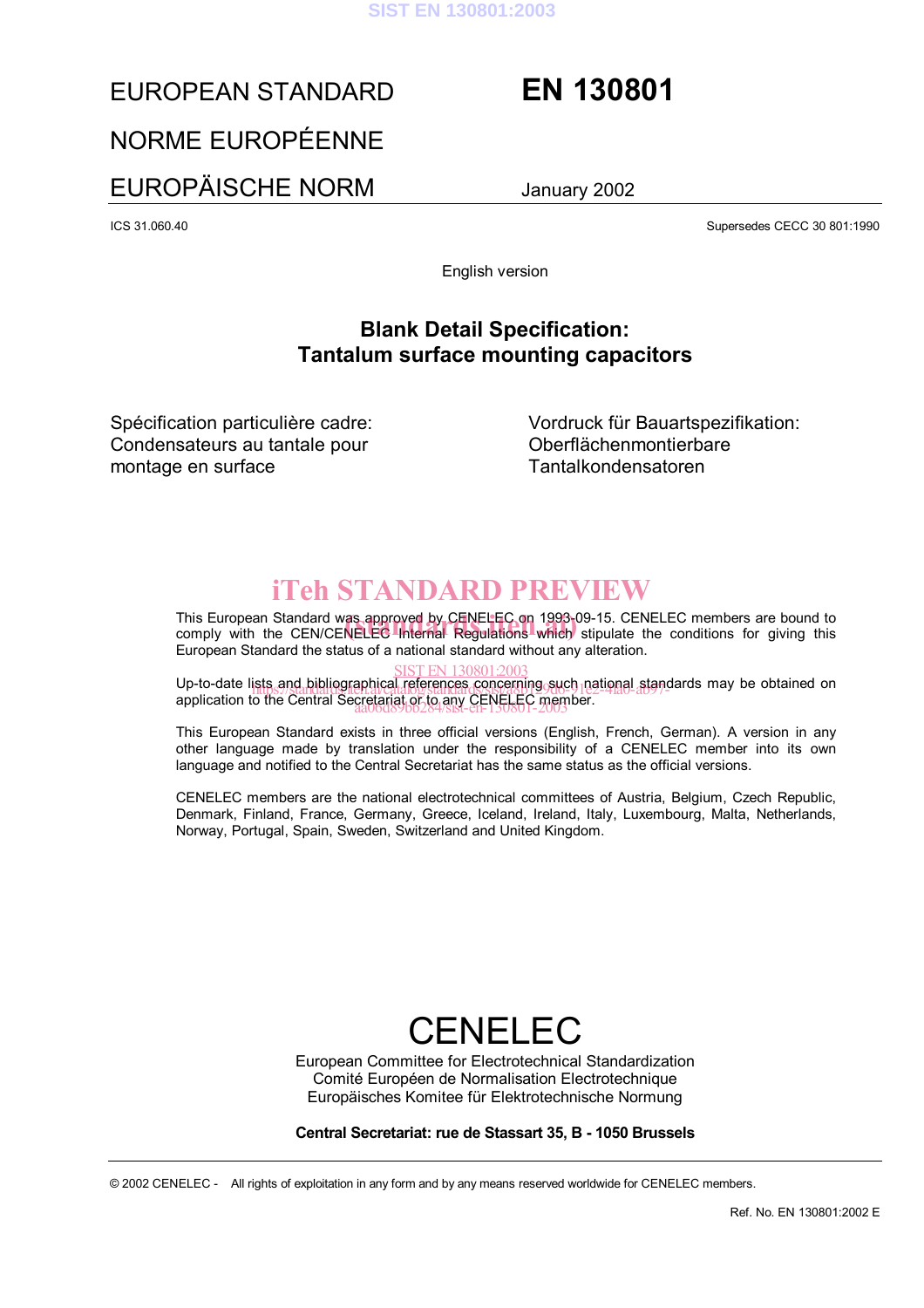

### EUROPEAN STANDARD **EN 130801**

### NORME EUROPÉENNE

### EUROPÄISCHE NORM January 2002

ICS 31.060.40 Supersedes CECC 30 801:1990

English version

### **Blank Detail Specification: Tantalum surface mounting capacitors**

Spécification particulière cadre: Condensateurs au tantale pour montage en surface

Vordruck für Bauartspezifikation: Oberflächenmontierbare Tantalkondensatoren

## iTeh STANDARD PREVIEW

This European Standard was approved by CENELEC on 1993-09-15. CENELEC members are bound to This European Standard was approved by CENELEC on 1993-09-15. CENELEC members are bound to<br>comply with the CEN/CENELEC Internal Regulations which stipulate the conditions for giving this European Standard the status of a national standard without any alteration.

SIST EN 130801:2003<br>Up-to-date lists and bibliographical references concerning such national standards may be obtained on application to the Central Secretariat or to any CENELEC member. aa06d89bb284/sist-en-130801-2003ists.and.bibliographical.references.concerning.such.jpational.stand<br>https://standard.ai/catalog/standards/sist-4pp29d6-91e2-4fa0-ab97-

This European Standard exists in three official versions (English, French, German). A version in any other language made by translation under the responsibility of a CENELEC member into its own language and notified to the Central Secretariat has the same status as the official versions.

CENELEC members are the national electrotechnical committees of Austria, Belgium, Czech Republic, Denmark, Finland, France, Germany, Greece, Iceland, Ireland, Italy, Luxembourg, Malta, Netherlands, Norway, Portugal, Spain, Sweden, Switzerland and United Kingdom.

# **CENELFC**

European Committee for Electrotechnical Standardization Comité Européen de Normalisation Electrotechnique Europäisches Komitee für Elektrotechnische Normung

#### **Central Secretariat: rue de Stassart 35, B - 1050 Brussels**

© 2002 CENELEC - All rights of exploitation in any form and by any means reserved worldwide for CENELEC members.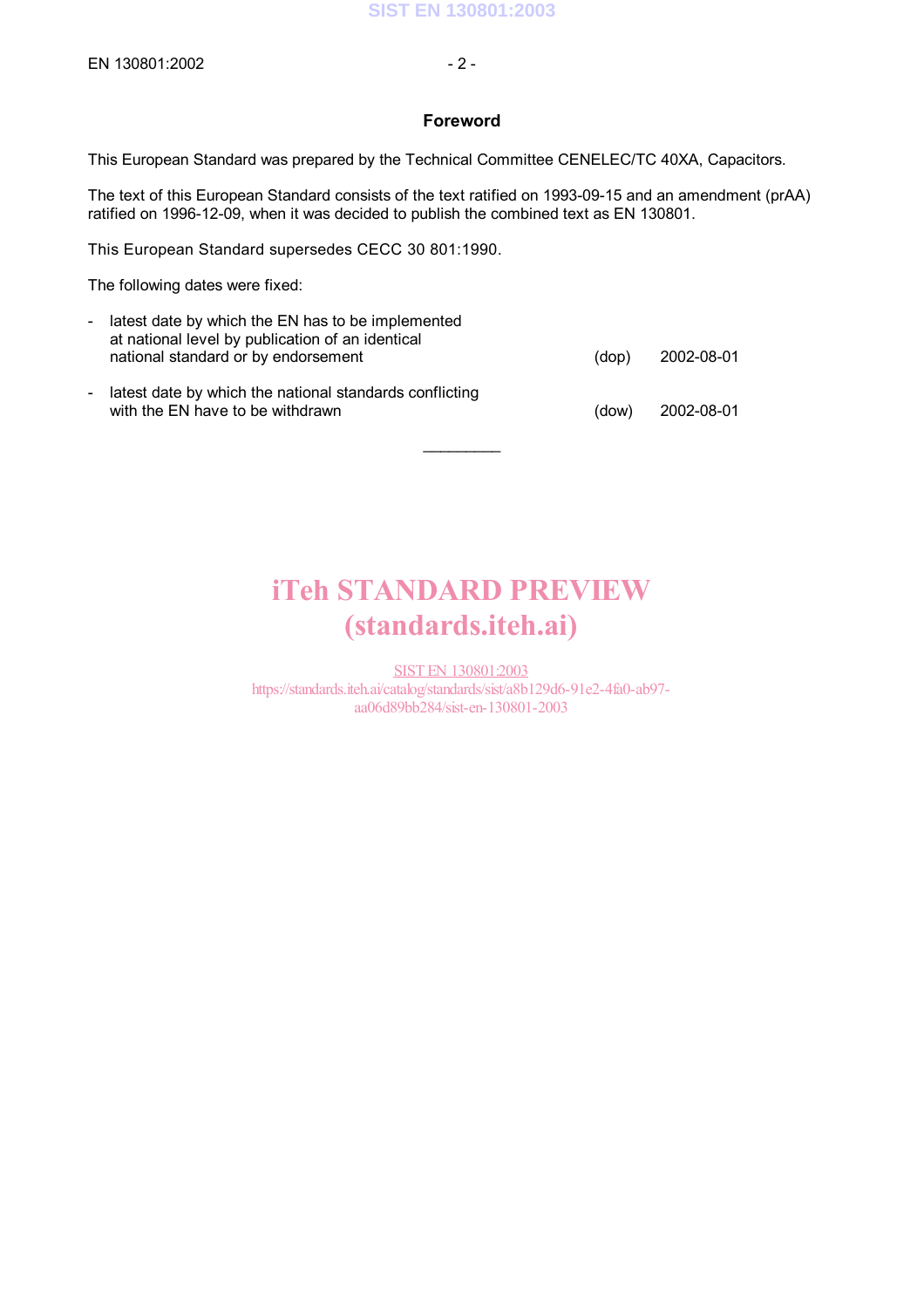#### **Foreword**

This European Standard was prepared by the Technical Committee CENELEC/TC 40XA, Capacitors.

The text of this European Standard consists of the text ratified on 1993-09-15 and an amendment (prAA) ratified on 1996-12-09, when it was decided to publish the combined text as EN 130801.

This European Standard supersedes CECC 30 801:1990.

The following dates were fixed:

| - latest date by which the EN has to be implemented<br>at national level by publication of an identical<br>national standard or by endorsement | (dop) | 2002-08-01 |
|------------------------------------------------------------------------------------------------------------------------------------------------|-------|------------|
| latest date by which the national standards conflicting<br>with the EN have to be withdrawn                                                    | (dow) | 2002-08-01 |

# iTeh STANDARD PREVIEW (standards.iteh.ai)

 $\mathcal{L}$ 

SIST EN 130801:2003 https://standards.iteh.ai/catalog/standards/sist/a8b129d6-91e2-4fa0-ab97 aa06d89bb284/sist-en-130801-2003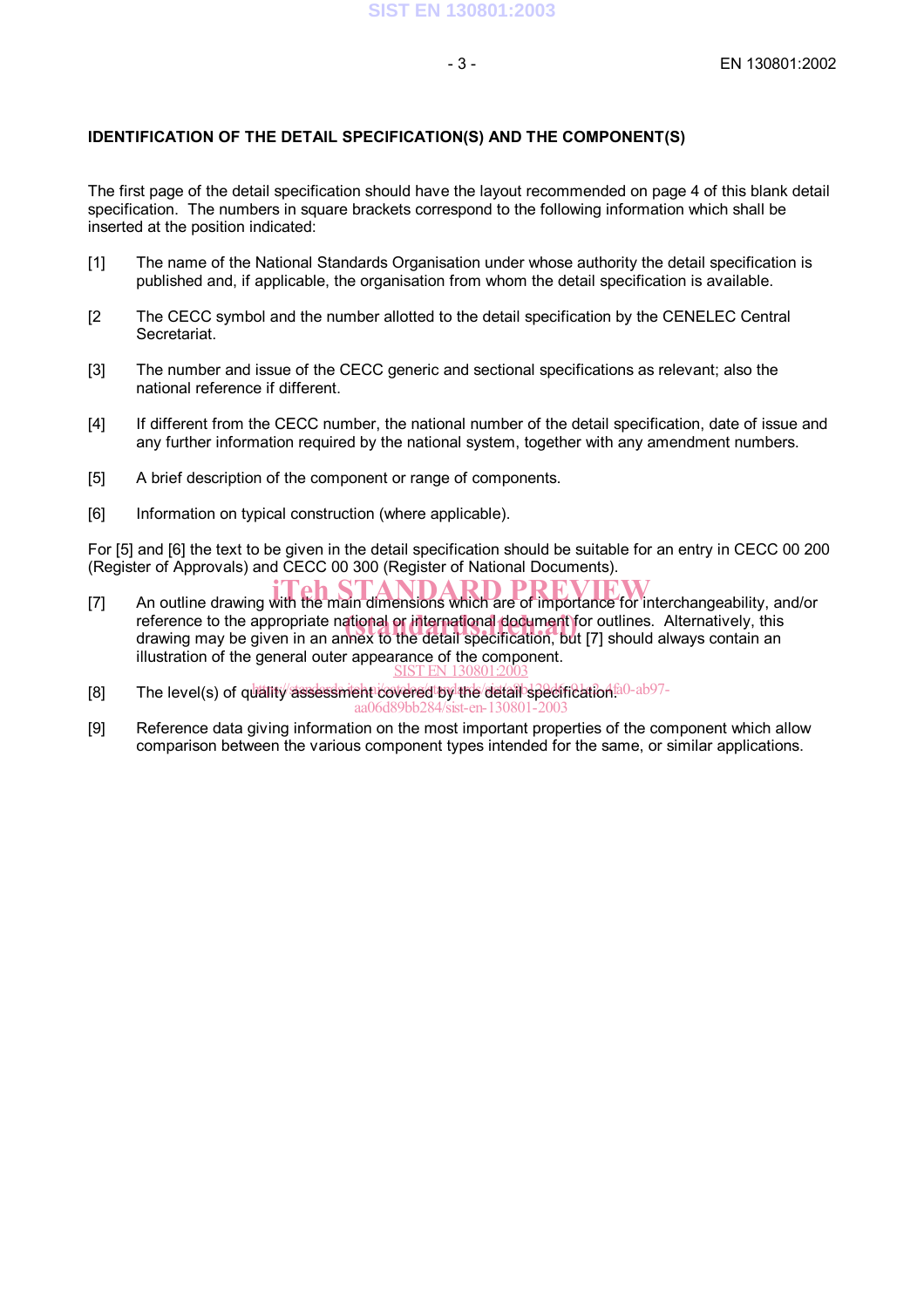#### **IDENTIFICATION OF THE DETAIL SPECIFICATION(S) AND THE COMPONENT(S)**

The first page of the detail specification should have the layout recommended on page 4 of this blank detail specification. The numbers in square brackets correspond to the following information which shall be inserted at the position indicated:

- [1] The name of the National Standards Organisation under whose authority the detail specification is published and, if applicable, the organisation from whom the detail specification is available.
- [2 The CECC symbol and the number allotted to the detail specification by the CENELEC Central Secretariat.
- [3] The number and issue of the CECC generic and sectional specifications as relevant; also the national reference if different.
- [4] If different from the CECC number, the national number of the detail specification, date of issue and any further information required by the national system, together with any amendment numbers.
- [5] A brief description of the component or range of components.
- [6] Information on typical construction (where applicable).

For [5] and [6] the text to be given in the detail specification should be suitable for an entry in CECC 00 200 (Register of Approvals) and CECC 00 300 (Register of National Documents).

- Teh STANDARD PREVIEW<br>
[7] An outline drawing with the main dimensions which are of importance for interchangeability, and/or reference to the appropriate national or international document for outlines. Alternatively, this<br>drawing may be given in an appex to the detail specification, but [7] should always contain an drawing may be given in an annex to the detail specification, but [7] should always contain an illustration of the general outer appearance of the component. **SIST EN 13080**
- [8] The level(s) of quality assessment covered to the detail specification fa0-ab97aa06d89bb284/sist-en-130801-2003
- [9] Reference data giving information on the most important properties of the component which allow comparison between the various component types intended for the same, or similar applications.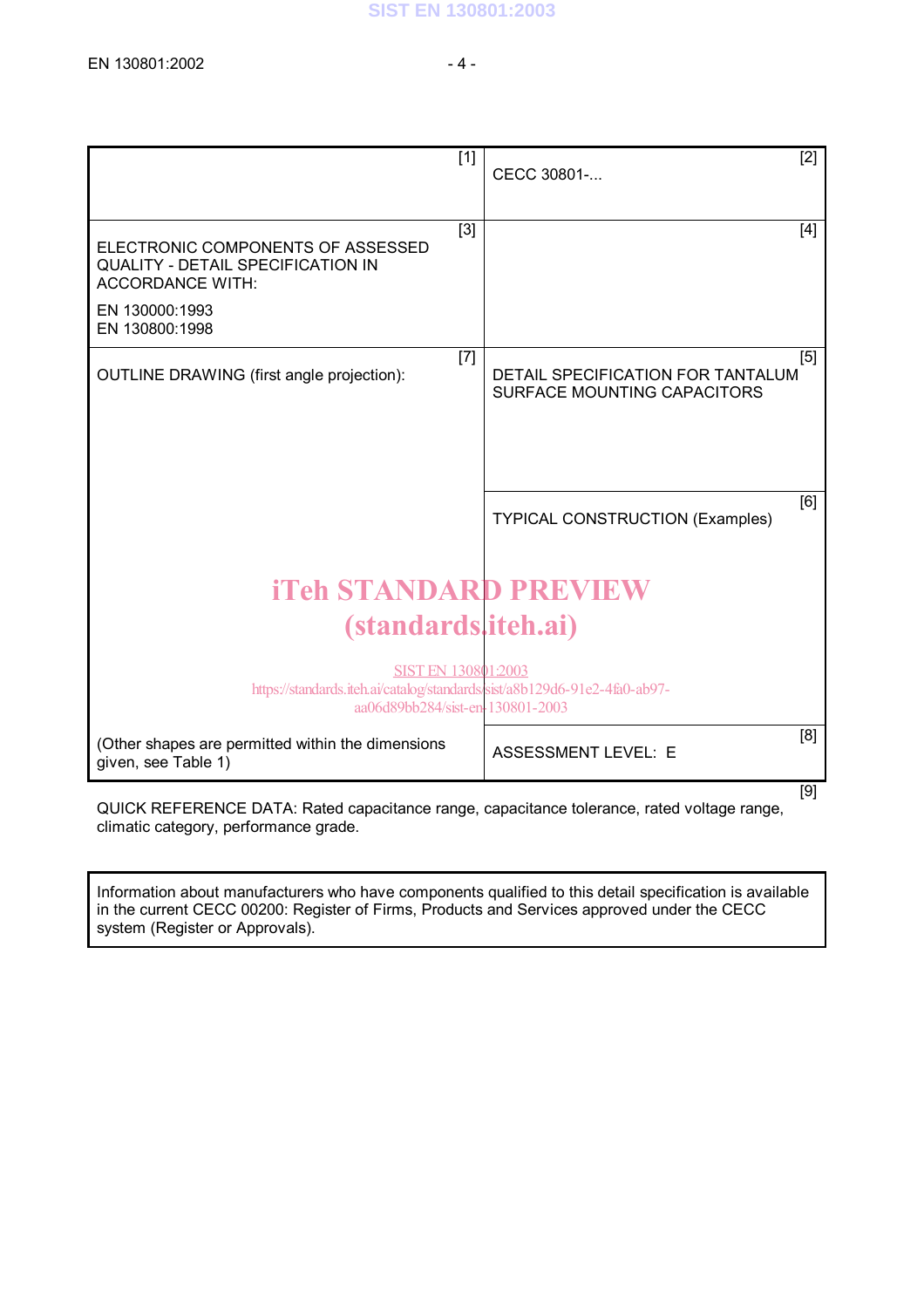|                                                                                                                                      | $[1]$ | CECC 30801-                                                             | $[2]$ |
|--------------------------------------------------------------------------------------------------------------------------------------|-------|-------------------------------------------------------------------------|-------|
| ELECTRONIC COMPONENTS OF ASSESSED<br><b>QUALITY - DETAIL SPECIFICATION IN</b><br><b>ACCORDANCE WITH:</b>                             | $[3]$ |                                                                         | $[4]$ |
| EN 130000:1993<br>EN 130800:1998                                                                                                     |       |                                                                         |       |
| OUTLINE DRAWING (first angle projection):                                                                                            | $[7]$ | DETAIL SPECIFICATION FOR TANTALUM<br><b>SURFACE MOUNTING CAPACITORS</b> | $[5]$ |
|                                                                                                                                      |       |                                                                         |       |
|                                                                                                                                      |       | <b>TYPICAL CONSTRUCTION (Examples)</b>                                  | [6]   |
| <b>iTeh STANDARD PREVIEW</b>                                                                                                         |       |                                                                         |       |
| <i>(standards, iteh.ai)</i>                                                                                                          |       |                                                                         |       |
| SIST EN 130801:2003<br>https://standards.iteh.ai/catalog/standards/sist/a8b129d6-91e2-4fa0-ab97-<br>aa06d89bb284/sist-en-130801-2003 |       |                                                                         |       |
| (Other shapes are permitted within the dimensions<br>given, see Table 1)                                                             |       | <b>ASSESSMENT LEVEL: E</b>                                              | [8]   |
| QUICK REFERENCE DATA: Rated capacitance range, capacitance tolerance, rated voltage range,<br>climatic category, performance grade.  |       |                                                                         | [9]   |

Information about manufacturers who have components qualified to this detail specification is available in the current CECC 00200: Register of Firms, Products and Services approved under the CECC

system (Register or Approvals).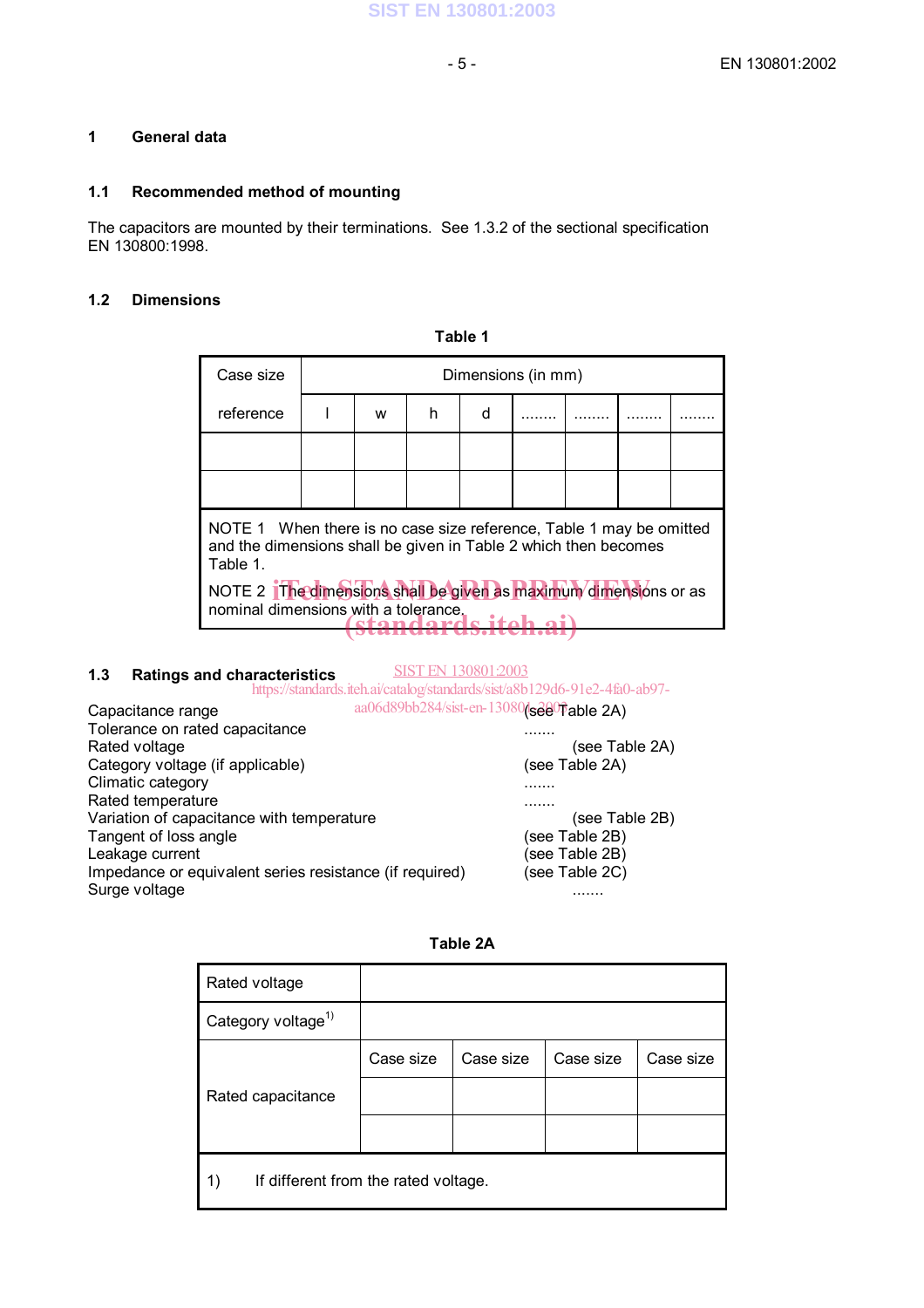#### **1 General data**

#### **1.1 Recommended method of mounting**

The capacitors are mounted by their terminations. See 1.3.2 of the sectional specification EN 130800:1998.

#### **1.2 Dimensions**

**Table 1**

| Case size                                                                                                                                          | Dimensions (in mm) |   |   |   |  |  |  |  |
|----------------------------------------------------------------------------------------------------------------------------------------------------|--------------------|---|---|---|--|--|--|--|
| reference                                                                                                                                          |                    | w | h | d |  |  |  |  |
|                                                                                                                                                    |                    |   |   |   |  |  |  |  |
|                                                                                                                                                    |                    |   |   |   |  |  |  |  |
| NOTE 1 When there is no case size reference, Table 1 may be omitted<br>and the dimensions shall be given in Table 2 which then becomes<br>Table 1. |                    |   |   |   |  |  |  |  |
| NOTE 2 The dimensions shall be given as maximum dimensions or as<br>nominal dimensions with a tolerance.                                           |                    |   |   |   |  |  |  |  |

#### **1.3 Ratings and characteristics**

SIST EN 130801:2003

```
Capacitance range aa06d89bb284/sist-en-13080(see Table 2A)
Tolerance on rated capacitance .......
                                             (see Table 2A)<br>(see Table 2A)
Category voltage (if applicable)
Climatic category .......
Rated temperature .......
Variation of capacitance with temperature (see Table 2B)<br>
Tangent of loss angle (see Table 2B)
Tangent of loss angle
Leakage current (see Table 2B)
Impedance or equivalent series resistance (if required) (see Table 2C)
Surge voltage .......
                https://standards.iteh.ai/catalog/standards/sist/a8b129d6-91e2-4fa0-ab97-
```

| 1<br>ı٠<br>. . |  |
|----------------|--|
|----------------|--|

| Rated voltage                              |           |           |           |           |
|--------------------------------------------|-----------|-----------|-----------|-----------|
| Category voltage <sup>1)</sup>             |           |           |           |           |
|                                            | Case size | Case size | Case size | Case size |
| Rated capacitance                          |           |           |           |           |
|                                            |           |           |           |           |
| If different from the rated voltage.<br>1) |           |           |           |           |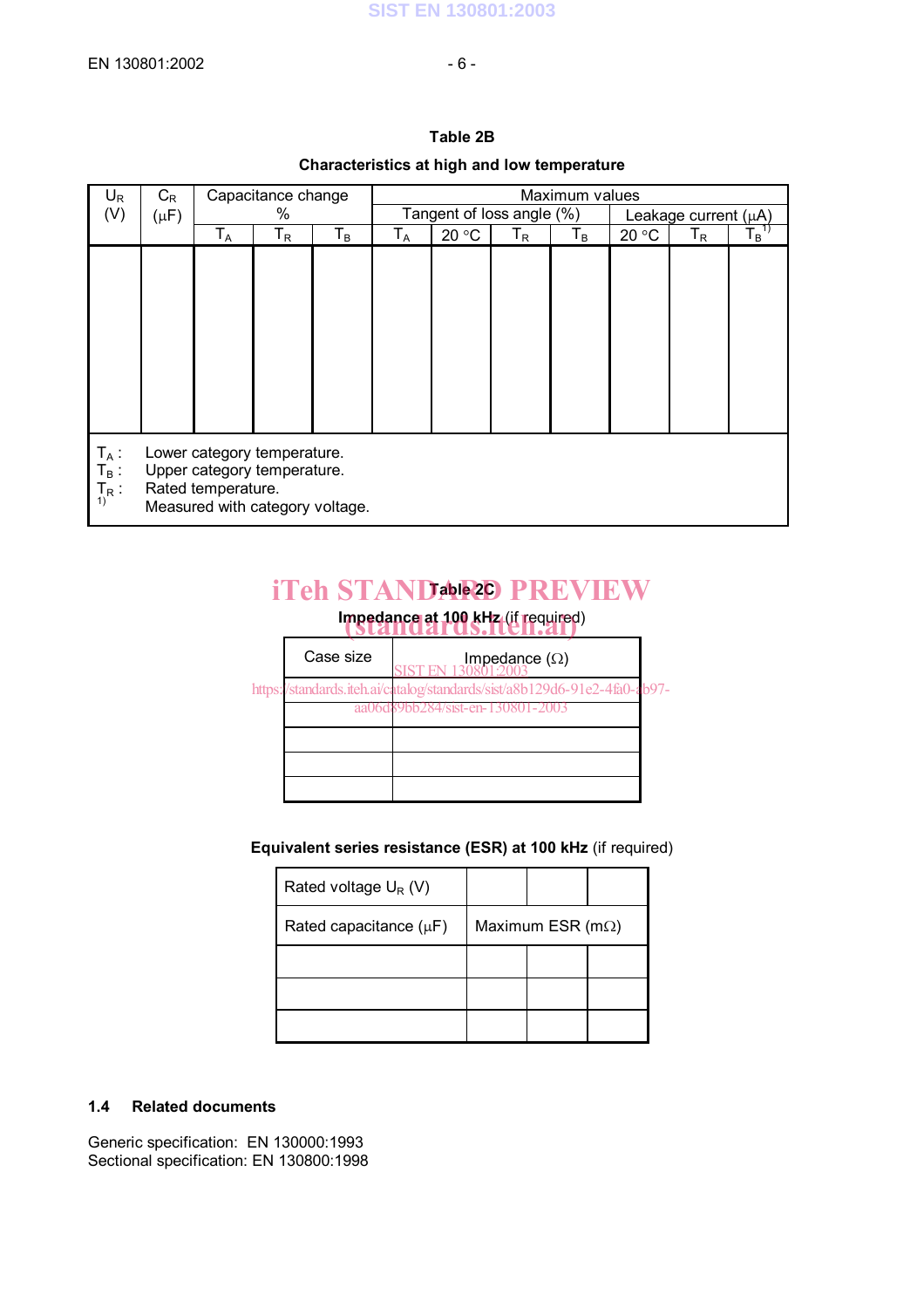|                               |           |                         |                                                                                               | Characteristics at high and low temperature |                         |                           |                           |       |       |                           |                     |  |  |  |
|-------------------------------|-----------|-------------------------|-----------------------------------------------------------------------------------------------|---------------------------------------------|-------------------------|---------------------------|---------------------------|-------|-------|---------------------------|---------------------|--|--|--|
| $U_{R}$                       | $C_{R}$   |                         | Capacitance change                                                                            |                                             | Maximum values          |                           |                           |       |       |                           |                     |  |  |  |
| (V)                           | $(\mu F)$ |                         | %                                                                                             |                                             |                         | Tangent of loss angle (%) |                           |       |       | Leakage current $(\mu A)$ |                     |  |  |  |
|                               |           | $\mathsf{T}_\mathsf{A}$ | Т <sub>R</sub>                                                                                | $T_B$                                       | $\mathsf{T}_\mathsf{A}$ | 20 °C                     | $\mathsf{T}_{\mathsf{R}}$ | $T_B$ | 20 °C | $T_R$                     | $\mathsf{T_B}^{1)}$ |  |  |  |
|                               |           |                         |                                                                                               |                                             |                         |                           |                           |       |       |                           |                     |  |  |  |
| $T_A$ :<br>$T_B$ :<br>$T_R$ : |           | Rated temperature.      | Lower category temperature.<br>Upper category temperature.<br>Measured with category voltage. |                                             |                         |                           |                           |       |       |                           |                     |  |  |  |

#### **Table 2B**

## **iTeh STANDAN20 PREVIEW**

## **Impedance at 100 kHz (if required)**

| Case size | Impedance $(\Omega)$                                                      |  |
|-----------|---------------------------------------------------------------------------|--|
|           | https://standards.iteh.ai/catalog/standards/sist/a8b129d6-91e2-4fa0-ab97- |  |
|           | aa06d89bb284/sist-en-130801-2003                                          |  |
|           |                                                                           |  |
|           |                                                                           |  |
|           |                                                                           |  |
|           |                                                                           |  |

#### **Equivalent series resistance (ESR) at 100 kHz** (if required)

| Rated voltage $U_R(V)$      |                           |  |  |  |
|-----------------------------|---------------------------|--|--|--|
| Rated capacitance $(\mu F)$ | Maximum ESR ( $m\Omega$ ) |  |  |  |
|                             |                           |  |  |  |
|                             |                           |  |  |  |
|                             |                           |  |  |  |

#### **1.4 Related documents**

Generic specification: EN 130000:1993 Sectional specification: EN 130800:1998